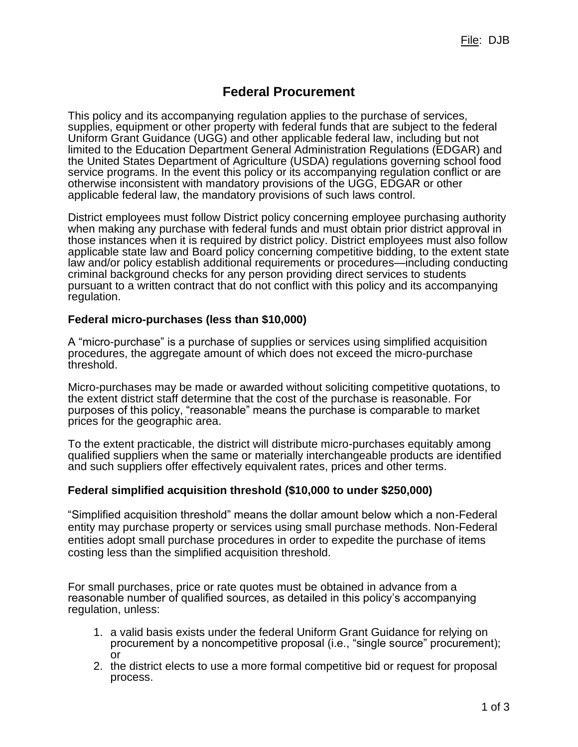# **Federal Procurement**

This policy and its accompanying regulation applies to the purchase of services, supplies, equipment or other property with federal funds that are subject to the federal Uniform Grant Guidance (UGG) and other applicable federal law, including but not limited to the Education Department General Administration Regulations (EDGAR) and the United States Department of Agriculture (USDA) regulations governing school food service programs. In the event this policy or its accompanying regulation conflict or are otherwise inconsistent with mandatory provisions of the UGG, EDGAR or other applicable federal law, the mandatory provisions of such laws control.

District employees must follow District policy concerning employee purchasing authority when making any purchase with federal funds and must obtain prior district approval in those instances when it is required by district policy. District employees must also follow applicable state law and Board policy concerning competitive bidding, to the extent state law and/or policy establish additional requirements or procedures—including conducting criminal background checks for any person providing direct services to students pursuant to a written contract that do not conflict with this policy and its accompanying regulation.

### **Federal micro-purchases (less than \$10,000)**

A "micro-purchase" is a purchase of supplies or services using simplified acquisition procedures, the aggregate amount of which does not exceed the micro-purchase threshold.

Micro-purchases may be made or awarded without soliciting competitive quotations, to the extent district staff determine that the cost of the purchase is reasonable. For purposes of this policy, "reasonable" means the purchase is comparable to market prices for the geographic area.

To the extent practicable, the district will distribute micro-purchases equitably among qualified suppliers when the same or materially interchangeable products are identified and such suppliers offer effectively equivalent rates, prices and other terms.

### **Federal simplified acquisition threshold (\$10,000 to under \$250,000)**

"Simplified acquisition threshold" means the dollar amount below which a non-Federal entity may purchase property or services using small purchase methods. Non-Federal entities adopt small purchase procedures in order to expedite the purchase of items costing less than the simplified acquisition threshold.

For small purchases, price or rate quotes must be obtained in advance from a reasonable number of qualified sources, as detailed in this policy's accompanying regulation, unless:

- 1. a valid basis exists under the federal Uniform Grant Guidance for relying on procurement by a noncompetitive proposal (i.e., "single source" procurement); or
- 2. the district elects to use a more formal competitive bid or request for proposal process.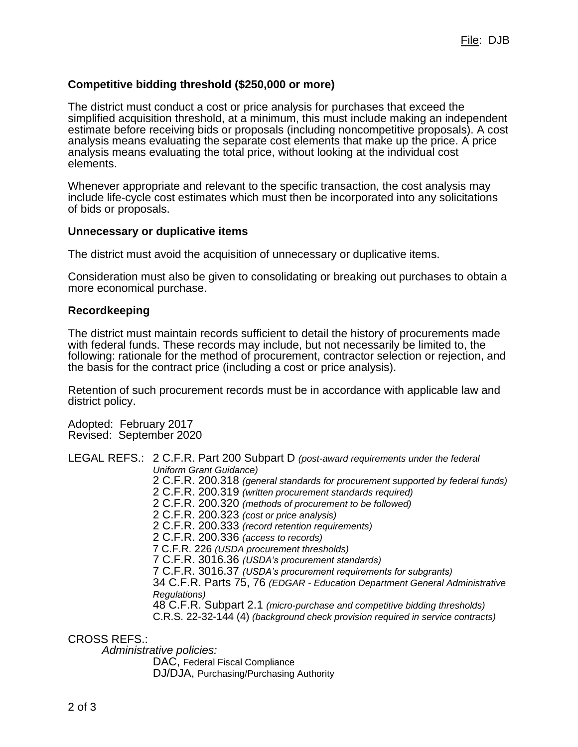## **Competitive bidding threshold (\$250,000 or more)**

The district must conduct a cost or price analysis for purchases that exceed the simplified acquisition threshold, at a minimum, this must include making an independent estimate before receiving bids or proposals (including noncompetitive proposals). A cost analysis means evaluating the separate cost elements that make up the price. A price analysis means evaluating the total price, without looking at the individual cost elements.

Whenever appropriate and relevant to the specific transaction, the cost analysis may include life-cycle cost estimates which must then be incorporated into any solicitations of bids or proposals.

#### **Unnecessary or duplicative items**

The district must avoid the acquisition of unnecessary or duplicative items.

Consideration must also be given to consolidating or breaking out purchases to obtain a more economical purchase.

#### **Recordkeeping**

The district must maintain records sufficient to detail the history of procurements made with federal funds. These records may include, but not necessarily be limited to, the following: rationale for the method of procurement, contractor selection or rejection, and the basis for the contract price (including a cost or price analysis).

Retention of such procurement records must be in accordance with applicable law and district policy.

Adopted: February 2017 Revised: September 2020

LEGAL REFS.: 2 C.F.R. Part 200 Subpart D *(post-award requirements under the federal Uniform Grant Guidance)* 2 C.F.R. 200.318 *(general standards for procurement supported by federal funds)* 2 C.F.R. 200.319 *(written procurement standards required)* 2 C.F.R. 200.320 *(methods of procurement to be followed)* 2 C.F.R. 200.323 *(cost or price analysis)* 2 C.F.R. 200.333 *(record retention requirements)* 2 C.F.R. 200.336 *(access to records)* 7 C.F.R. 226 *(USDA procurement thresholds)* 7 C.F.R. 3016.36 *(USDA's procurement standards)* 7 C.F.R. 3016.37 *(USDA's procurement requirements for subgrants)* 34 C.F.R. Parts 75, 76 *(EDGAR - Education Department General Administrative Regulations)* 48 C.F.R. Subpart 2.1 *(micro-purchase and competitive bidding thresholds)* C.R.S. 22-32-144 (4) *(background check provision required in service contracts)*

CROSS REFS.:

*Administrative policies:*

DAC, Federal Fiscal Compliance DJ/DJA, Purchasing/Purchasing Authority